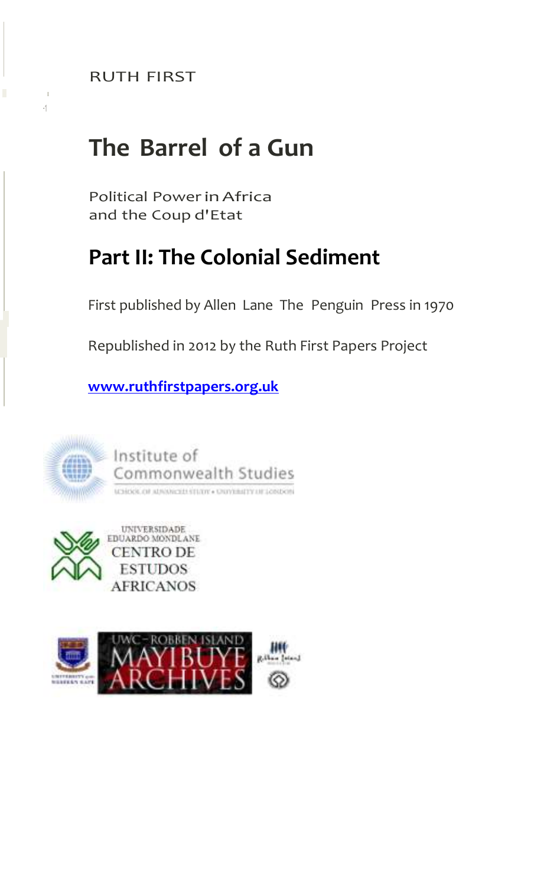### RUTH FIRST

I -1

# **The Barrel of a Gun**

Political PowerinAfrica and the Coup d'Etat

# **Part II: The Colonial Sediment**

First published by Allen Lane The Penguin Press in 1970

Republished in 2012 by the Ruth First Papers Project

**[www.ruthfirstpapers.org.uk](http://www.ruthfirstpapers.org.uk/)**





**UNIVERSIDADE** EDUARDO MONDLANE **CENTRO DE AFRICANOS** 

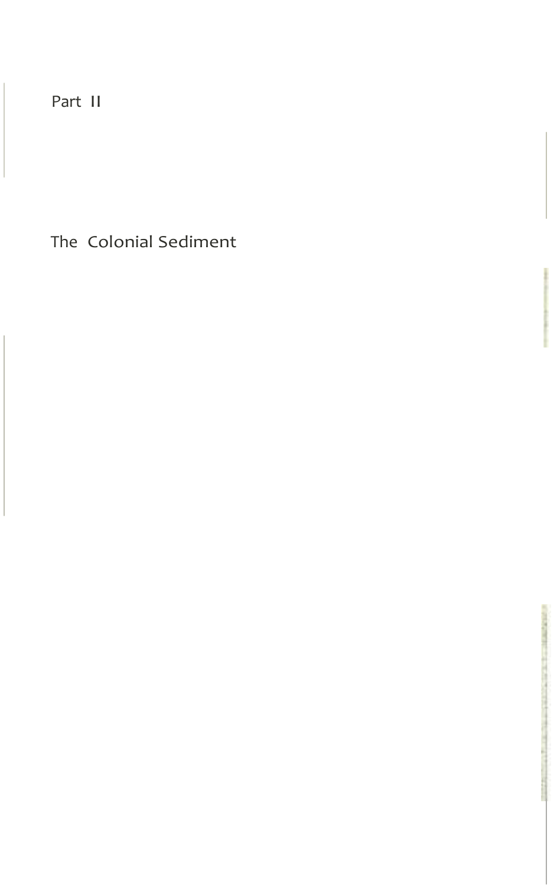Part II

The Colonial Sediment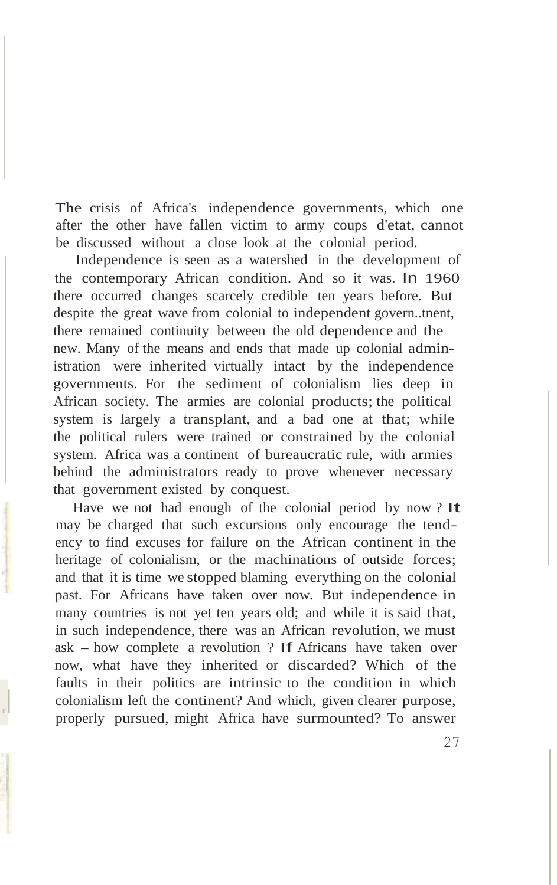The crisis of Africa's independence governments, which one after the other have fallen victim to army coups d'etat, cannot be discussed without a close look at the colonial period.

Independence is seen as a watershed in the development of the contemporary African condition. And so it was. In 1960 there occurred changes scarcely credible ten years before. But despite the great wave from colonial to independent govern..tnent, there remained continuity between the old dependence and the new. Many of the means and ends that made up colonial administration were inherited virtually intact by the independence governments. For the sediment of colonialism lies deep in African society. The armies are colonial products; the political system is largely a transplant, and a bad one at that; while the political rulers were trained or constrained by the colonial system. Africa was a continent of bureaucratic rule, with armies behind the administrators ready to prove whenever necessary that government existed by conquest.

Have we not had enough of the colonial period by now? It may be charged that such excursions only encourage the tendency to find excuses for failure on the African continent in the heritage of colonialism, or the machinations of outside forces; and that it is time we stopped blaming everything on the colonial past. For Africans have taken over now. But independence in many countries is not yet ten years old; and while it is said that, in such independence, there was an African revolution, we must ask - how complete a revolution ? If Africans have taken over now, what have they inherited or discarded? Which of the faults in their politics are intrinsic to the condition in which colonialism left the continent? And which, given clearer purpose, properly pursued, might Africa have surmounted? To answer

.I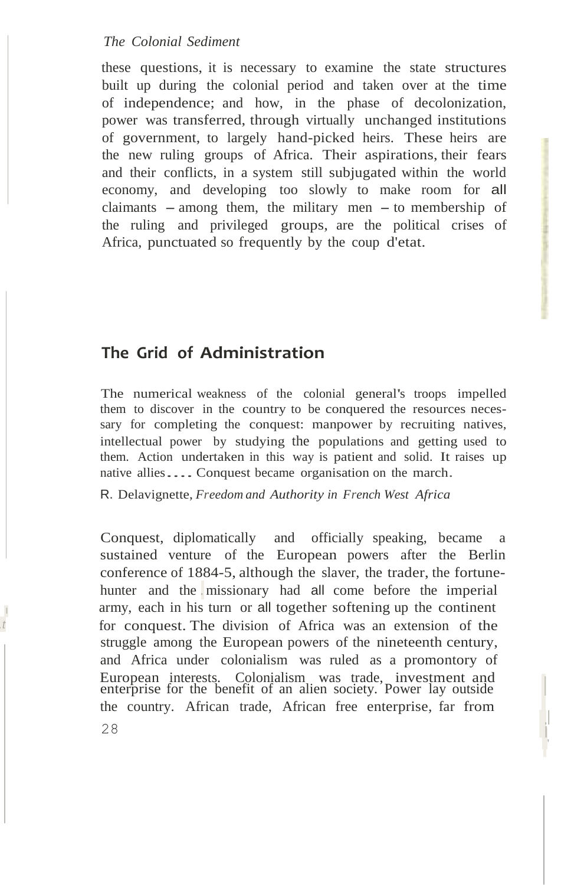these questions, it is necessary to examine the state structures built up during the colonial period and taken over at the time of independence; and how, in the phase of decolonization, power was transferred, through virtually unchanged institutions of government, to largely hand-picked heirs. These heirs are the new ruling groups of Africa. Their aspirations, their fears and their conflicts, in a system still subjugated within the world economy, and developing too slowly to make room for all claimants  $-$  among them, the military men  $-$  to membership of the ruling and privileged groups, are the political crises of Africa, punctuated so frequently by the coup d'etat.

## **The Grid of Administration**

The numerical weakness of the colonial general's troops impelled them to discover in the country to be conquered the resources necessary for completing the conquest: manpower by recruiting natives, intellectual power by studying the populations and getting used to them. Action undertaken in this way is patient and solid. It raises up native allies....Conquest became organisation on the march.

R. Delavignette, *Freedom and Authority in French West Africa*

Conquest, diplomatically and officially speaking, became a sustained venture of the European powers after the Berlin conference of 1884-5, although the slaver, the trader, the fortunehunter and the missionary had all come before the imperial army, each in his turn or all together softening up the continent for conquest. The division of Africa was an extension of the struggle among the European powers of the nineteenth century, and Africa under colonialism was ruled as a promontory of European interests. Colonialism was trade, investment and enterprise for the benefit of an alien society. Power lay outside the country. African trade, African free enterprise, far from 28  $\blacksquare$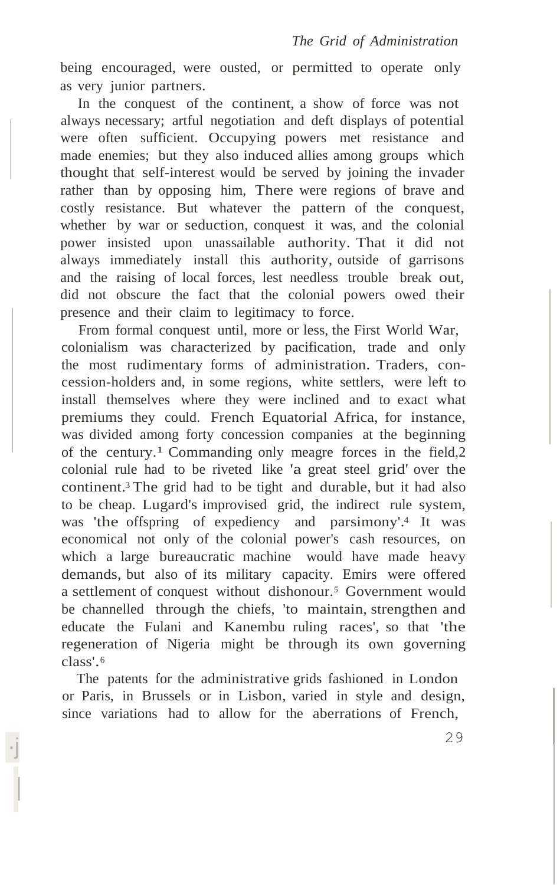being encouraged, were ousted, or permitted to operate only as very junior partners.

In the conquest of the continent, a show of force was not always necessary; artful negotiation and deft displays of potential were often sufficient. Occupying powers met resistance and made enemies; but they also induced allies among groups which thought that self-interest would be served by joining the invader rather than by opposing him, There were regions of brave and costly resistance. But whatever the pattern of the conquest, whether by war or seduction, conquest it was, and the colonial power insisted upon unassailable authority. That it did not always immediately install this authority, outside of garrisons and the raising of local forces, lest needless trouble break out, did not obscure the fact that the colonial powers owed their presence and their claim to legitimacy to force.

From formal conquest until, more or less, the First World War, colonialism was characterized by pacification, trade and only the most rudimentary forms of administration. Traders, concession-holders and, in some regions, white settlers, were left to install themselves where they were inclined and to exact what premiums they could. French Equatorial Africa, for instance, was divided among forty concession companies at the beginning of the century. 1 Commanding only meagre forces in the field,2 colonial rule had to be riveted like 'a great steel grid' over the continent. <sup>3</sup> The grid had to be tight and durable, but it had also to be cheap. Lugard's improvised grid, the indirect rule system, was 'the offspring of expediency and parsimony'.<sup>4</sup> It was economical not only of the colonial power's cash resources, on which a large bureaucratic machine would have made heavy demands, but also of its military capacity. Emirs were offered a settlement of conquest without dishonour.<sup>5</sup> Government would be channelled through the chiefs, 'to maintain, strengthen and educate the Fulani and Kanembu ruling races', so that 'the regeneration of Nigeria might be through its own governing class'. 6

The patents for the administrative grids fashioned in London or Paris, in Brussels or in Lisbon, varied in style and design, since variations had to allow for the aberrations of French,

I

·j <sup>29</sup>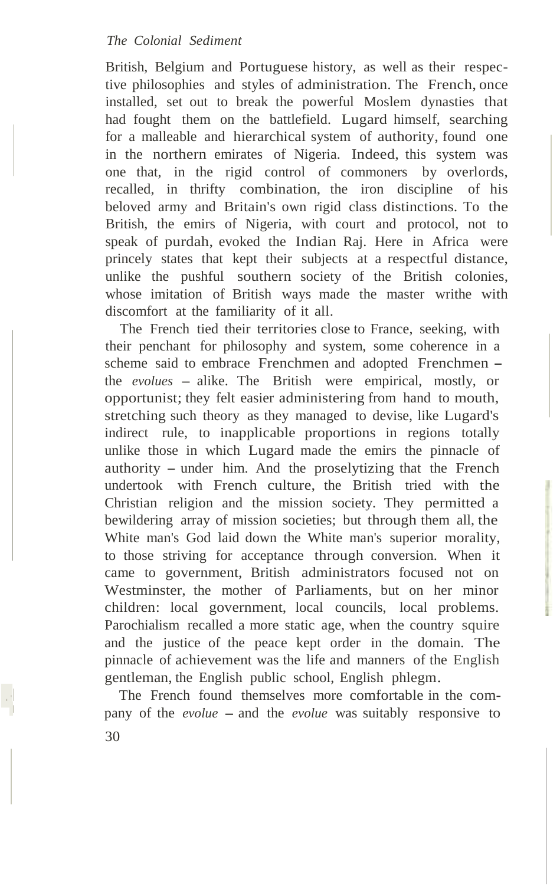.·I

British, Belgium and Portuguese history, as well as their respective philosophies and styles of administration. The French, once installed, set out to break the powerful Moslem dynasties that had fought them on the battlefield. Lugard himself, searching for a malleable and hierarchical system of authority, found one in the northern emirates of Nigeria. Indeed, this system was one that, in the rigid control of commoners by overlords, recalled, in thrifty combination, the iron discipline of his beloved army and Britain's own rigid class distinctions. To the British, the emirs of Nigeria, with court and protocol, not to speak of purdah, evoked the Indian Raj. Here in Africa were princely states that kept their subjects at a respectful distance, unlike the pushful southern society of the British colonies, whose imitation of British ways made the master writhe with discomfort at the familiarity of it all.

The French tied their territories close to France, seeking, with their penchant for philosophy and system, some coherence in a scheme said to embrace Frenchmen and adopted Frenchmen the *evolues* - alike. The British were empirical, mostly, or opportunist; they felt easier administering from hand to mouth, stretching such theory as they managed to devise, like Lugard's indirect rule, to inapplicable proportions in regions totally unlike those in which Lugard made the emirs the pinnacle of authority - under him. And the proselytizing that the French undertook with French culture, the British tried with the Christian religion and the mission society. They permitted a bewildering array of mission societies; but through them all, the White man's God laid down the White man's superior morality, to those striving for acceptance through conversion. When it came to government, British administrators focused not on Westminster, the mother of Parliaments, but on her minor children: local government, local councils, local problems. Parochialism recalled a more static age, when the country squire and the justice of the peace kept order in the domain. The pinnacle of achievement was the life and manners of the English gentleman, the English public school, English phlegm.

The French found themselves more comfortable in the company of the *evolue* - and the *evolue* was suitably responsive to 30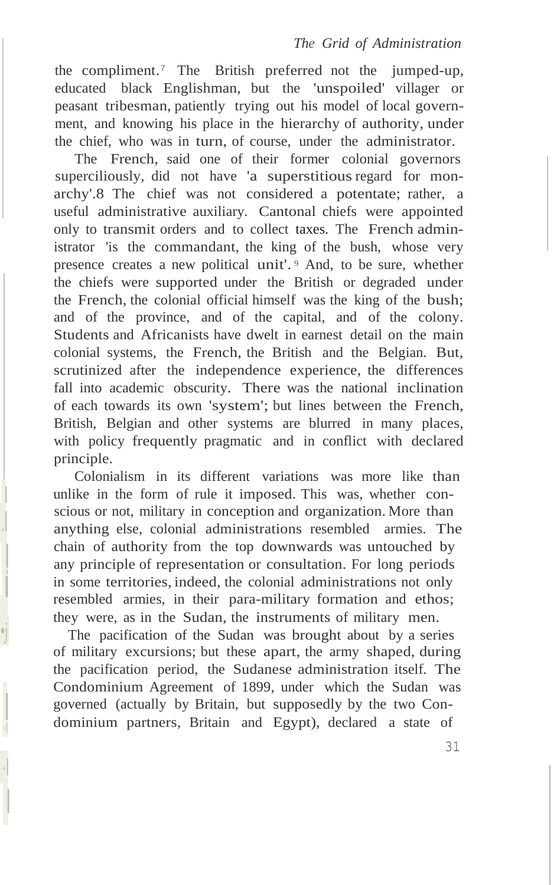the compliment. <sup>7</sup>The British preferred not the jumped-up, educated black Englishman, but the 'unspoiled' villager or peasant tribesman, patiently trying out his model of local government, and knowing his place in the hierarchy of authority, under the chief, who was in turn, of course, under the administrator.

The French, said one of their former colonial governors superciliously, did not have 'a superstitious regard for monarchy'.8 The chief was not considered a potentate; rather, a useful administrative auxiliary. Cantonal chiefs were appointed only to transmit orders and to collect taxes. The French administrator 'is the commandant, the king of the bush, whose very presence creates a new political unit'. <sup>9</sup>And, to be sure, whether the chiefs were supported under the British or degraded under the French, the colonial official himself was the king of the bush; and of the province, and of the capital, and of the colony. Students and Africanists have dwelt in earnest detail on the main colonial systems, the French, the British and the Belgian. But, scrutinized after the independence experience, the differences fall into academic obscurity. There was the national inclination of each towards its own 'system'; but lines between the French, British, Belgian and other systems are blurred in many places, with policy frequently pragmatic and in conflict with declared principle.

Colonialism in its different variations was more like than unlike in the form of rule it imposed. This was, whether conscious or not, military in conception and organization. More than anything else, colonial administrations resembled armies. The chain of authority from the top downwards was untouched by any principle of representation or consultation. For long periods in some territories, indeed, the colonial administrations not only resembled armies, in their para-military formation and ethos; they were, as in the Sudan, the instruments of military men.

The pacification of the Sudan was brought about by a series of military excursions; but these apart, the army shaped, during the pacification period, the Sudanese administration itself. The Condominium Agreement of 1899, under which the Sudan was governed (actually by Britain, but supposedly by the two Con dominium partners, Britain and Egypt), declared a state of

·I

l

·I

I

l

I

.I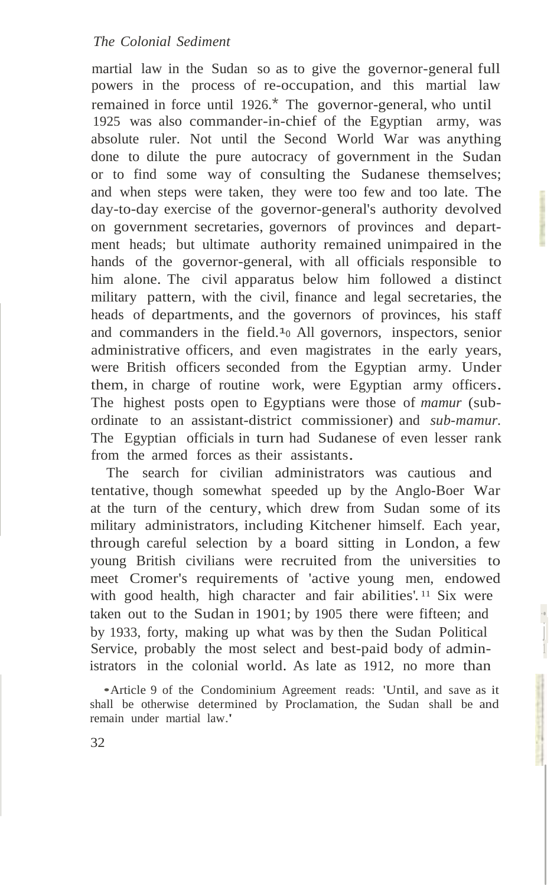martial law in the Sudan so as to give the governor-general full powers in the process of re-occupation, and this martial law remained in force until 1926.\* The governor-general, who until 1925 was also commander-in-chief of the Egyptian army, was absolute ruler. Not until the Second World War was anything done to dilute the pure autocracy of government in the Sudan or to find some way of consulting the Sudanese themselves; and when steps were taken, they were too few and too late. The day-to-day exercise of the governor-general's authority devolved on government secretaries, governors of provinces and department heads; but ultimate authority remained unimpaired in the hands of the governor-general, with all officials responsible to him alone. The civil apparatus below him followed a distinct military pattern, with the civil, finance and legal secretaries, the heads of departments, and the governors of provinces, his staff and commanders in the field. 1<sup>o</sup> All governors, inspectors, senior administrative officers, and even magistrates in the early years, were British officers seconded from the Egyptian army. Under them, in charge of routine work, were Egyptian army officers. The highest posts open to Egyptians were those of *mamur* (subordinate to an assistant-district commissioner) and *sub-mamur.*  The Egyptian officials in turn had Sudanese of even lesser rank from the armed forces as their assistants.

The search for civilian administrators was cautious and tentative, though somewhat speeded up by the Anglo-Boer War at the turn of the century, which drew from Sudan some of its military administrators, including Kitchener himself. Each year, through careful selection by a board sitting in London, a few young British civilians were recruited from the universities to meet Cromer's requirements of 'active young men, endowed with good health, high character and fair abilities'.<sup>11</sup> Six were taken out to the Sudan in 1901; by 1905 there were fifteen; and by 1933, forty, making up what was by then the Sudan Political Service, probably the most select and best-paid body of adminby 1933, forty, making up what was by then the Sudan Political j Service, probably the most select and best-paid body of administrators in the colonial world. As late as 1912, no more than

•Article <sup>9</sup> of the Condominium Agreement reads: 'Until, and save as it shall be otherwise determined by Proclamation, the Sudan shall be and remain under martial law.'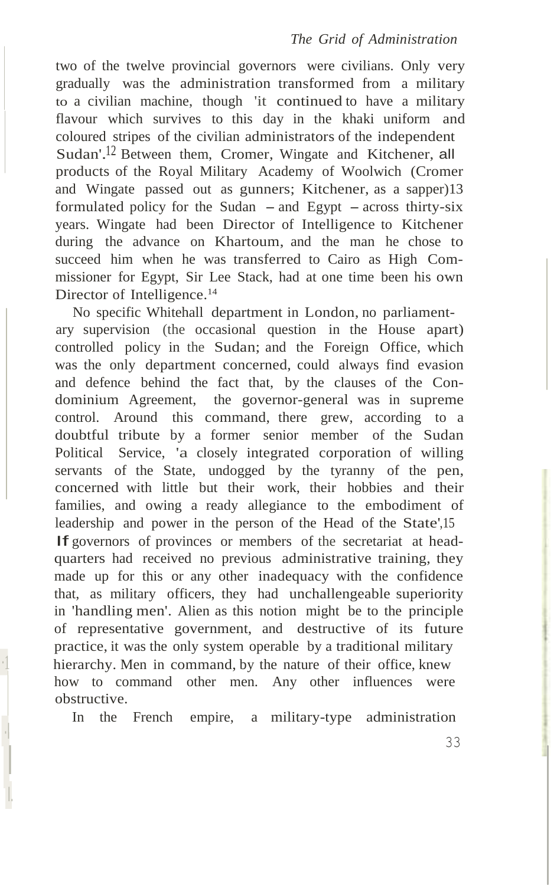two of the twelve provincial governors were civilians. Only very gradually was the administration transformed from a military to a civilian machine, though 'it continued to have a military flavour which survives to this day in the khaki uniform and coloured stripes of the civilian administrators of the independent Sudan'.<sup>12</sup> Between them, Cromer, Wingate and Kitchener, all products of the Royal Military Academy of Woolwich (Cromer and Wingate passed out as gunners; Kitchener, as a sapper)13 formulated policy for the Sudan  $-$  and Egypt  $-$  across thirty-six years. Wingate had been Director of Intelligence to Kitchener during the advance on Khartoum, and the man he chose to succeed him when he was transferred to Cairo as High Commissioner for Egypt, Sir Lee Stack, had at one time been his own Director of Intelligence. 14

No specific Whitehall department in London, no parliamentary supervision (the occasional question in the House apart) controlled policy in the Sudan; and the Foreign Office, which was the only department concerned, could always find evasion and defence behind the fact that, by the clauses of the Condominium Agreement, the governor-general was in supreme control. Around this command, there grew, according to a doubtful tribute by a former senior member of the Sudan Political Service, 'a closely integrated corporation of willing servants of the State, undogged by the tyranny of the pen, concerned with little but their work, their hobbies and their families, and owing a ready allegiance to the embodiment of leadership and power in the person of the Head of the State',15 If governors of provinces or members of the secretariat at headquarters had received no previous administrative training, they made up for this or any other inadequacy with the confidence that, as military officers, they had unchallengeable superiority in 'handling men'. Alien as this notion might be to the principle of representative government, and destructive of its future practice, it was the only system operable by a traditional military hierarchy. Men in command, by the nature of their office, knew how to command other men. Any other influences were obstructive.

In the French empire, a military-type administration

I

I.

 $\frac{1}{33}$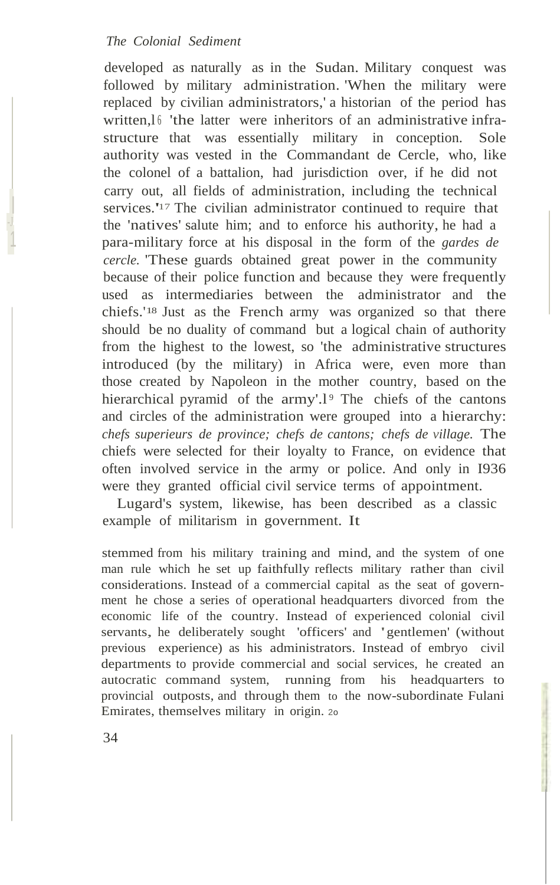developed as naturally as in the Sudan. Military conquest was followed by military administration. 'When the military were replaced by civilian administrators,' a historian of the period has written, 16 'the latter were inheritors of an administrative infrastructure that was essentially military in conception. Sole authority was vested in the Commandant de Cercle, who, like the colonel of a battalion, had jurisdiction over, if he did not carry out, all fields of administration, including the technical **In services.**'<sup>17</sup> The civilian administrator continued to require that the 'natives' salute him; and to enforce his authority, he had a 1 para-military force at his disposal in the form of the *gardes de cercle.* 'These guards obtained great power in the community because of their police function and because they were frequently used as intermediaries between the administrator and the chiefs.' 18 Just as the French army was organized so that there should be no duality of command but a logical chain of authority from the highest to the lowest, so 'the administrative structures introduced (by the military) in Africa were, even more than those created by Napoleon in the mother country, based on the hierarchical pyramid of the army'.<sup>19</sup> The chiefs of the cantons and circles of the administration were grouped into a hierarchy: *chefs superieurs de province; chefs de cantons; chefs de village.* The chiefs were selected for their loyalty to France, on evidence that often involved service in the army or police. And only in I936 were they granted official civil service terms of appointment.

> Lugard's system, likewise, has been described as a classic example of militarism in government. It

stemmed from his military training and mind, and the system of one man rule which he set up faithfully reflects military rather than civil considerations. Instead of a commercial capital as the seat of government he chose a series of operational headquarters divorced from the economic life of the country. Instead of experienced colonial civil servants, he deliberately sought 'officers' and 'gentlemen' (without previous experience) as his administrators. Instead of embryo civil departments to provide commercial and social services, he created an autocratic command system, running from his headquarters to provincial outposts, and through them to the now-subordinate Fulani Emirates, themselves military in origin. 2o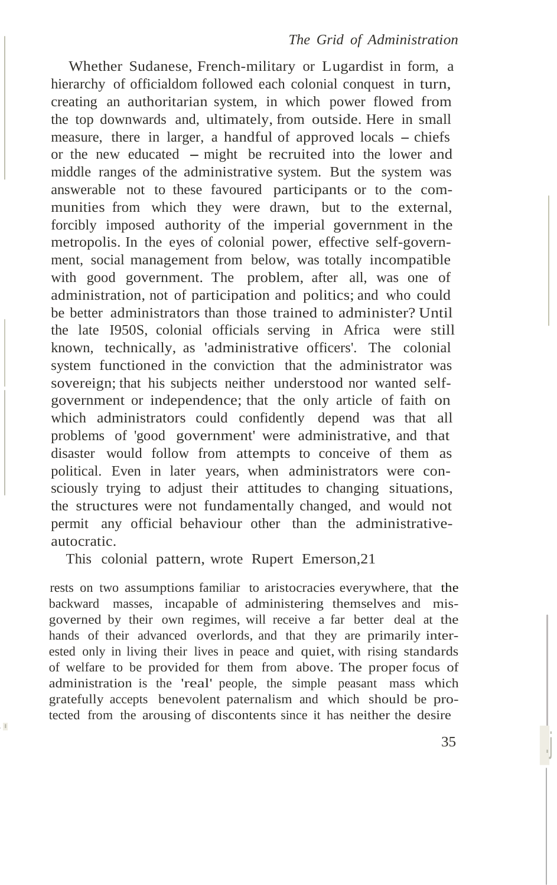Whether Sudanese, French-military or Lugardist in form, a hierarchy of officialdom followed each colonial conquest in turn, creating an authoritarian system, in which power flowed from the top downwards and, ultimately, from outside. Here in small measure, there in larger, a handful of approved locals – chiefs or the new educated - might be recruited into the lower and middle ranges of the administrative system. But the system was answerable not to these favoured participants or to the communities from which they were drawn, but to the external, forcibly imposed authority of the imperial government in the metropolis. In the eyes of colonial power, effective self-government, social management from below, was totally incompatible with good government. The problem, after all, was one of administration, not of participation and politics; and who could be better administrators than those trained to administer? Until the late I950S, colonial officials serving in Africa were still known, technically, as 'administrative officers'. The colonial system functioned in the conviction that the administrator was sovereign; that his subjects neither understood nor wanted selfgovernment or independence; that the only article of faith on which administrators could confidently depend was that all problems of 'good government' were administrative, and that disaster would follow from attempts to conceive of them as political. Even in later years, when administrators were consciously trying to adjust their attitudes to changing situations, the structures were not fundamentally changed, and would not permit any official behaviour other than the administrativeautocratic.

This colonial pattern, wrote Rupert Emerson,21

, I

rests on two assumptions familiar to aristocracies everywhere, that the backward masses, incapable of administering themselves and misgoverned by their own regimes, will receive a far better deal at the hands of their advanced overlords, and that they are primarily interested only in living their lives in peace and quiet, with rising standards of welfare to be provided for them from above. The proper focus of administration is the 'real' people, the simple peasant mass which gratefully accepts benevolent paternalism and which should be protected from the arousing of discontents since it has neither the desire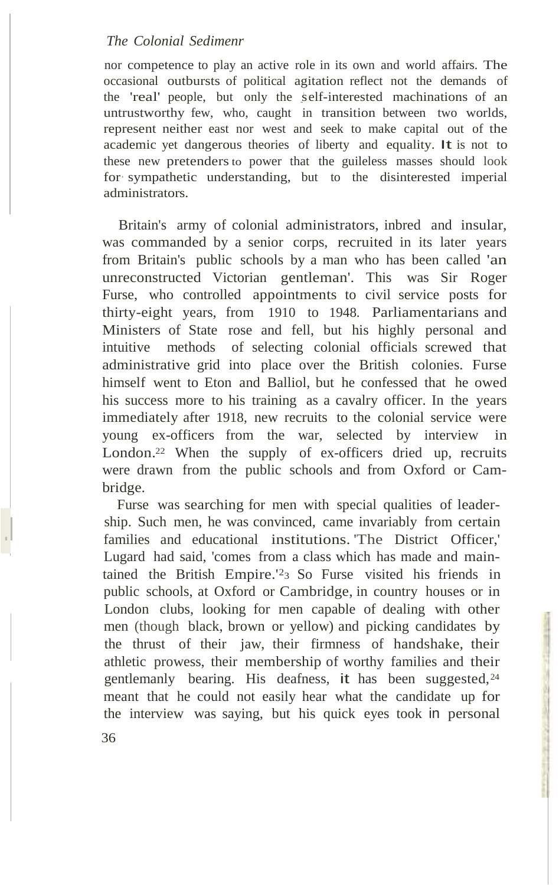nor competence to play an active role in its own and world affairs. The occasional outbursts of political agitation reflect not the demands of the 'real' people, but only the self-interested machinations of an untrustworthy few, who, caught in transition between two worlds, represent neither east nor west and seek to make capital out of the academic yet dangerous theories of liberty and equality. It is not to these new pretenders to power that the guileless masses should look for· sympathetic understanding, but to the disinterested imperial administrators.

Britain's army of colonial administrators, inbred and insular, was commanded by a senior corps, recruited in its later years from Britain's public schools by a man who has been called 'an unreconstructed Victorian gentleman'. This was Sir Roger Furse, who controlled appointments to civil service posts for thirty-eight years, from 1910 to 1948. Parliamentarians and Ministers of State rose and fell, but his highly personal and intuitive methods of selecting colonial officials screwed that administrative grid into place over the British colonies. Furse himself went to Eton and Balliol, but he confessed that he owed his success more to his training as a cavalry officer. In the years immediately after 1918, new recruits to the colonial service were young ex-officers from the war, selected by interview in London.<sup>22</sup> When the supply of ex-officers dried up, recruits were drawn from the public schools and from Oxford or Cambridge.

Furse was searching for men with special qualities of leadership. Such men, he was convinced, came invariably from certain families and educational institutions. 'The District Officer,' Lugard had said, 'comes from a class which has made and maintained the British Empire.' 2 <sup>3</sup>So Furse visited his friends in public schools, at Oxford or Cambridge, in country houses or in London clubs, looking for men capable of dealing with other men (though black, brown or yellow) and picking candidates by the thrust of their jaw, their firmness of handshake, their athletic prowess, their membership of worthy families and their gentlemanly bearing. His deafness, it has been suggested,<sup>24</sup> meant that he could not easily hear what the candidate up for the interview was saying, but his quick eyes took in personal

.I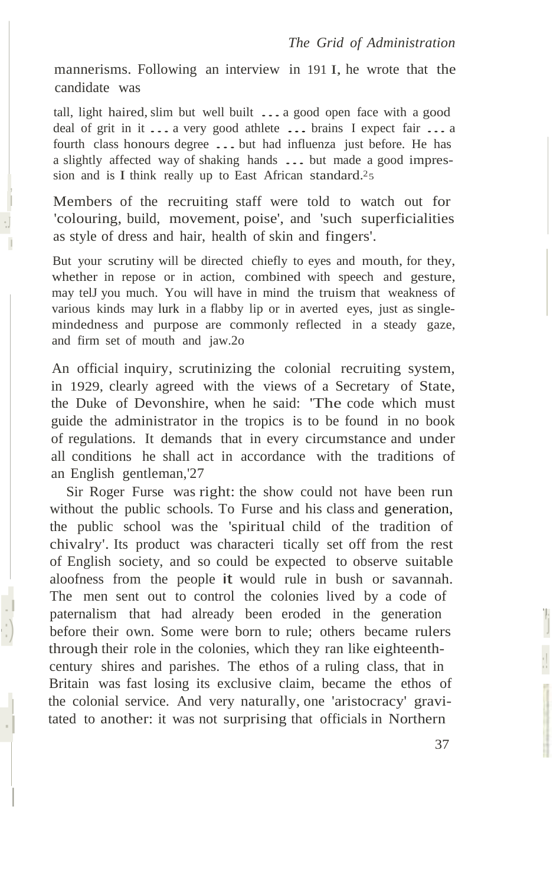mannerisms. Following an interview in 191 I, he wrote that the candidate was

tall, light haired, slim but well built ... <sup>a</sup> good open face with <sup>a</sup> good deal of grit in it ... <sup>a</sup> very good athlete ... brains I expect fair ... <sup>a</sup> fourth class honours degree ... but had influenza just before. He has <sup>a</sup> slightly affected way of shaking hands ... but made <sup>a</sup> good impression and is I think really up to East African standard. 25

Members of the recruiting staff were told to watch out for 'colouring, build, movement, poise', and 'such superficialities as style of dress and hair, health of skin and fingers'.

But your scrutiny will be directed chiefly to eyes and mouth, for they, whether in repose or in action, combined with speech and gesture, may telJ you much. You will have in mind the truism that weakness of various kinds may lurk in a flabby lip or in averted eyes, just as singlemindedness and purpose are commonly reflected in a steady gaze, and firm set of mouth and jaw.2o

An official inquiry, scrutinizing the colonial recruiting system, in 1929, clearly agreed with the views of a Secretary of State, the Duke of Devonshire, when he said: 'The code which must guide the administrator in the tropics is to be found in no book of regulations. It demands that in every circumstance and under all conditions he shall act in accordance with the traditions of an English gentleman,'27

Sir Roger Furse was right: the show could not have been run without the public schools. To Furse and his class and generation, the public school was the 'spiritual child of the tradition of chivalry'. Its product was characteri tically set off from the rest of English society, and so could be expected to observe suitable aloofness from the people it would rule in bush or savannah. The men sent out to control the colonies lived by a code of paternalism that had already been eroded in the generation before their own. Some were born to rule; others became rulers through their role in the colonies, which they ran like eighteenthcentury shires and parishes. The ethos of a ruling class, that in Britain was fast losing its exclusive claim, became the ethos of the colonial service. And very naturally, one 'aristocracy' gravitated to another: it was not surprising that officials in Northern

!

.I · :)

, I ·..J I

.

I ·I

I

'j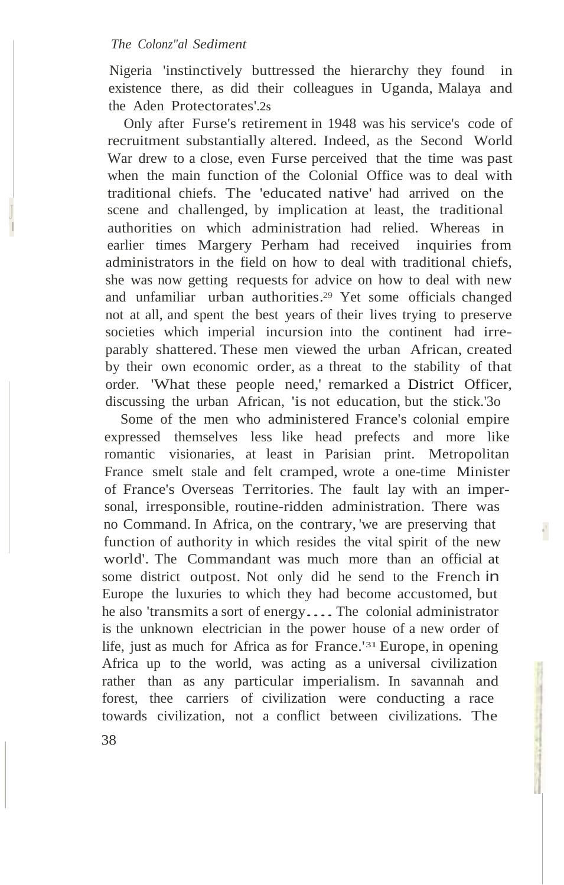J

Nigeria 'instinctively buttressed the hierarchy they found in existence there, as did their colleagues in Uganda, Malaya and the Aden Protectorates'.2s

Only after Furse's retirement in 1948 was his service's code of recruitment substantially altered. Indeed, as the Second World War drew to a close, even Furse perceived that the time was past when the main function of the Colonial Office was to deal with traditional chiefs. The 'educated native' had arrived on the scene and challenged, by implication at least, the traditional authorities on which administration had relied. Whereas in earlier times Margery Perham had received inquiries from administrators in the field on how to deal with traditional chiefs, she was now getting requests for advice on how to deal with new and unfamiliar urban authorities.<sup>29</sup> Yet some officials changed not at all, and spent the best years of their lives trying to preserve societies which imperial incursion into the continent had irreparably shattered. These men viewed the urban African, created by their own economic order, as a threat to the stability of that order. 'What these people need,' remarked a District Officer, discussing the urban African, 'is not education, but the stick.'3o

Some of the men who administered France's colonial empire expressed themselves less like head prefects and more like romantic visionaries, at least in Parisian print. Metropolitan France smelt stale and felt cramped, wrote a one-time Minister of France's Overseas Territories. The fault lay with an impersonal, irresponsible, routine-ridden administration. There was no Command. In Africa, on the contrary, 'we are preserving that function of authority in which resides the vital spirit of the new world'. The Commandant was much more than an official at some district outpost. Not only did he send to the French in Europe the luxuries to which they had become accustomed, but he also 'transmits <sup>a</sup> sort of energy....The colonial administrator is the unknown electrician in the power house of a new order of life, just as much for Africa as for France.'<sup>31</sup> Europe, in opening Africa up to the world, was acting as a universal civilization rather than as any particular imperialism. In savannah and forest, thee carriers of civilization were conducting a race towards civilization, not a conflict between civilizations. The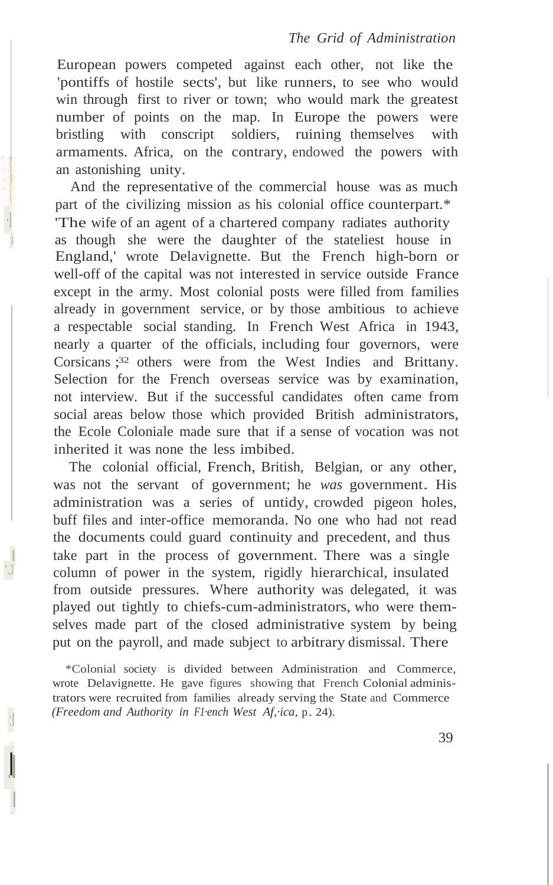European powers competed against each other, not like the 'pontiffs of hostile sects', but like runners, to see who would win through first to river or town; who would mark the greatest number of points on the map. In Europe the powers were bristling with conscript soldiers, ruining themselves with armaments. Africa, on the contrary, endowed the powers with an astonishing unity.

And the representative of the commercial house was as much part of the civilizing mission as his colonial office counterpart.\* The wife of an agent of a chartered company radiates authority as though she were the daughter of the stateliest house in England,' wrote Delavignette. But the French high-born or well-off of the capital was not interested in service outside France except in the army. Most colonial posts were filled from families already in government service, or by those ambitious to achieve a respectable social standing. In French West Africa in 1943, nearly a quarter of the officials, including four governors, were Corsicans ; 32 others were from the West Indies and Brittany. Selection for the French overseas service was by examination, not interview. But if the successful candidates often came from social areas below those which provided British administrators, the Ecole Coloniale made sure that if a sense of vocation was not inherited it was none the less imbibed.

The colonial official, French, British, Belgian, or any other, was not the servant of government; he *was* government. His administration was a series of untidy, crowded pigeon holes, buff files and inter-office memoranda. No one who had not read the documents could guard continuity and precedent, and thus take part in the process of government. There was a single column of power in the system, rigidly hierarchical, insulated from outside pressures. Where authority was delegated, it was played out tightly to chiefs-cum-administrators, who were themselves made part of the closed administrative system by being put on the payroll, and made subject to arbitrary dismissal. There

\*Colonial society is divided between Administration and Commerce, wrote Delavignette. He gave figures showing that French Colonial administrators were recruited from families already serving the State and Commerce :I *(Freedom and Authority in F1·ench West Af,·ica,* p. 24).

 $\mathbf{I}$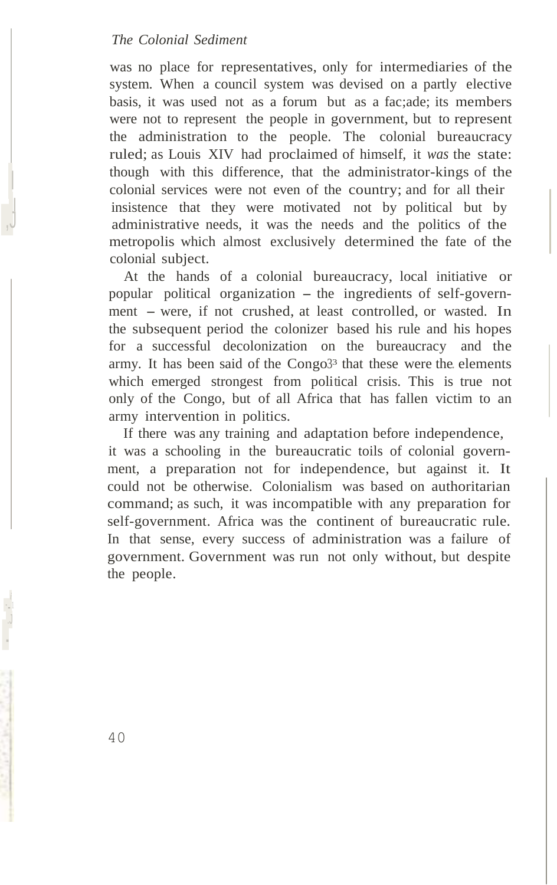was no place for representatives, only for intermediaries of the system. When a council system was devised on a partly elective basis, it was used not as a forum but as a fac;ade; its members were not to represent the people in government, but to represent the administration to the people. The colonial bureaucracy ruled; as Louis XIV had proclaimed of himself, it *was* the state: though with this difference, that the administrator-kings of the colonial services were not even of the country; and for all their insistence that they were motivated not by political but by administrative needs, it was the needs and the politics of the metropolis which almost exclusively determined the fate of the colonial subject.

At the hands of a colonial bureaucracy, local initiative or popular political organization - the ingredients of self-government – were, if not crushed, at least controlled, or wasted. In the subsequent period the colonizer based his rule and his hopes for a successful decolonization on the bureaucracy and the army. It has been said of the Congo<sup>33</sup> that these were the elements which emerged strongest from political crisis. This is true not only of the Congo, but of all Africa that has fallen victim to an army intervention in politics.

If there was any training and adaptation before independence, it was a schooling in the bureaucratic toils of colonial government, a preparation not for independence, but against it. It could not be otherwise. Colonialism was based on authoritarian command; as such, it was incompatible with any preparation for self-government. Africa was the continent of bureaucratic rule. In that sense, every success of administration was a failure of government. Government was run not only without, but despite the people.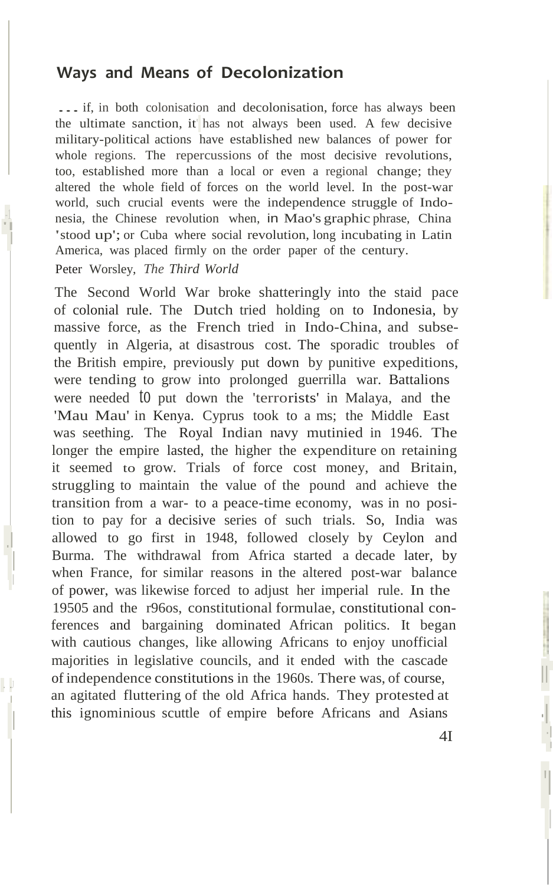# **Ways and Means of Decolonization**

... if, in both colonisation and decolonisation, force has always been the ultimate sanction, it' has not always been used. A few decisive military-political actions have established new balances of power for whole regions. The repercussions of the most decisive revolutions, too, established more than a local or even a regional change; they altered the whole field of forces on the world level. In the post-war world, such crucial events were the independence struggle of Indonesia, the Chinese revolution when, in Mao's graphic phrase, China 'stood up'; or Cuba where social revolution, long incubating in Latin America, was placed firmly on the order paper of the century.

Peter Worsley, *The Third World*

-1 'I I

> .I I I

. .J

I

The Second World War broke shatteringly into the staid pace of colonial rule. The Dutch tried holding on to Indonesia, by massive force, as the French tried in Indo-China, and subsequently in Algeria, at disastrous cost. The sporadic troubles of the British empire, previously put down by punitive expeditions, were tending to grow into prolonged guerrilla war. Battalions were needed to put down the 'terrorists' in Malaya, and the 'Mau Mau' in Kenya. Cyprus took to a ms; the Middle East was seething. The Royal Indian navy mutinied in 1946. The longer the empire lasted, the higher the expenditure on retaining it seemed to grow. Trials of force cost money, and Britain, struggling to maintain the value of the pound and achieve the transition from a war- to a peace-time economy, was in no position to pay for a decisive series of such trials. So, India was allowed to go first in 1948, followed closely by Ceylon and Burma. The withdrawal from Africa started a decade later, by when France, for similar reasons in the altered post-war balance of power, was likewise forced to adjust her imperial rule. In the 19505 and the r96os, constitutional formulae, constitutional conferences and bargaining dominated African politics. It began with cautious changes, like allowing Africans to enjoy unofficial majorities in legislative councils, and it ended with the cascade of independence constitutions in the 1960s. There was, of course, an agitated fluttering of the old Africa hands. They protested at this ignominious scuttle of empire before Africans and Asians

I

'I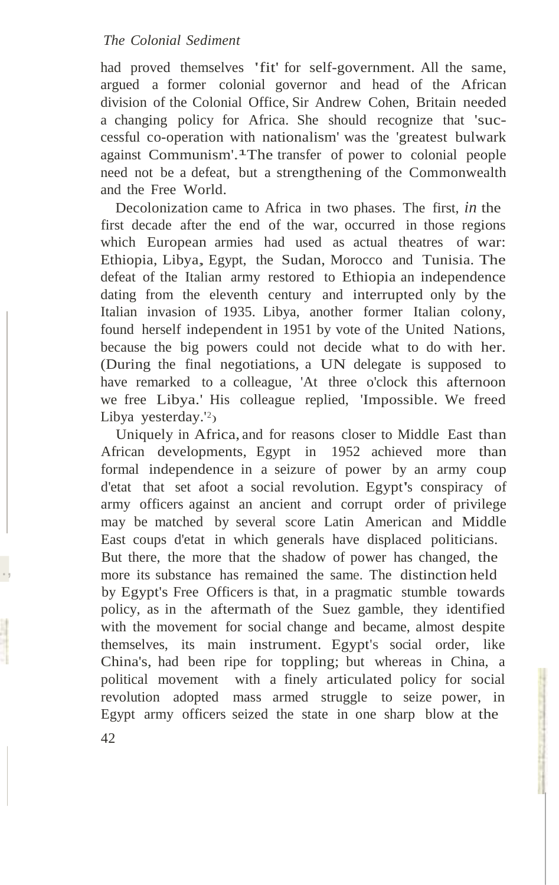had proved themselves 'fit' for self-government. All the same, argued a former colonial governor and head of the African division of the Colonial Office, Sir Andrew Cohen, Britain needed a changing policy for Africa. She should recognize that 'successful co-operation with nationalism' was the 'greatest bulwark against Communism'. 1The transfer of power to colonial people need not be a defeat, but a strengthening of the Commonwealth and the Free World.

Decolonization came to Africa in two phases. The first, *in* the first decade after the end of the war, occurred in those regions which European armies had used as actual theatres of war: Ethiopia, Libya, Egypt, the Sudan, Morocco and Tunisia. The defeat of the Italian army restored to Ethiopia an independence dating from the eleventh century and interrupted only by the Italian invasion of 1935. Libya, another former Italian colony, found herself independent in 1951 by vote of the United Nations, because the big powers could not decide what to do with her. (During the final negotiations, a UN delegate is supposed to have remarked to a colleague, 'At three o'clock this afternoon we free Libya.' His colleague replied, 'Impossible. We freed Libya yesterday.<sup>'2</sup>)

Uniquely in Africa, and for reasons closer to Middle East than African developments, Egypt in 1952 achieved more than formal independence in a seizure of power by an army coup d'etat that set afoot a social revolution. Egypt's conspiracy of army officers against an ancient and corrupt order of privilege may be matched by several score Latin American and Middle East coups d'etat in which generals have displaced politicians. But there, the more that the shadow of power has changed, the more its substance has remained the same. The distinction held by Egypt's Free Officers is that, in a pragmatic stumble towards policy, as in the aftermath of the Suez gamble, they identified with the movement for social change and became, almost despite themselves, its main instrument. Egypt's social order, like China's, had been ripe for toppling; but whereas in China, a political movement with a finely articulated policy for social revolution adopted mass armed struggle to seize power, in Egypt army officers seized the state in one sharp blow at the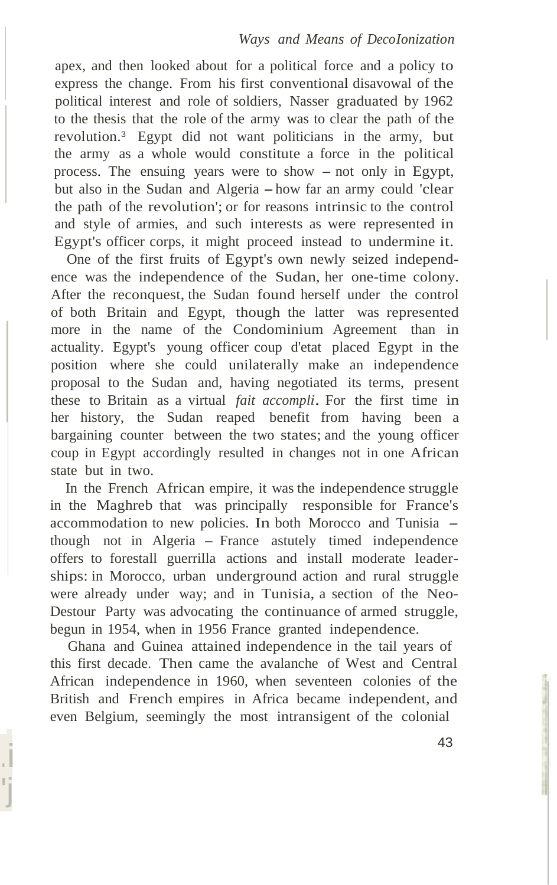apex, and then looked about for a political force and a policy to express the change. From his first conventional disavowal of the political interest and role of soldiers, Nasser graduated by 1962 to the thesis that the role of the army was to clear the path of the revolution. <sup>3</sup>Egypt did not want politicians in the army, but the army as a whole would constitute a force in the political process. The ensuing years were to show - not only in Egypt, but also in the Sudan and Algeria -how far an army could 'clear the path of the revolution'; or for reasons intrinsic to the control and style of armies, and such interests as were represented in Egypt's officer corps, it might proceed instead to undermine it.

One of the first fruits of Egypt's own newly seized independence was the independence of the Sudan, her one-time colony. After the reconquest, the Sudan found herself under the control of both Britain and Egypt, though the latter was represented more in the name of the Condominium Agreement than in actuality. Egypt's young officer coup d'etat placed Egypt in the position where she could unilaterally make an independence proposal to the Sudan and, having negotiated its terms, present these to Britain as <sup>a</sup> virtual *fait accompli.* For the first time in her history, the Sudan reaped benefit from having been a bargaining counter between the two states; and the young officer coup in Egypt accordingly resulted in changes not in one African state but in two.

In the French African empire, it was the independence struggle in the Maghreb that was principally responsible for France's accommodation to new policies. In both Morocco and Tunisia though not in Algeria - France astutely timed independence offers to forestall guerrilla actions and install moderate leaderships: in Morocco, urban underground action and rural struggle were already under way; and in Tunisia, a section of the Neo-Destour Party was advocating the continuance of armed struggle, begun in 1954, when in 1956 France granted independence.

Ghana and Guinea attained independence in the tail years of this first decade. Then came the avalanche of West and Central African independence in 1960, when seventeen colonies of the British and French empires in Africa became independent, and even Belgium, seemingly the most intransigent of the colonial

.i

'j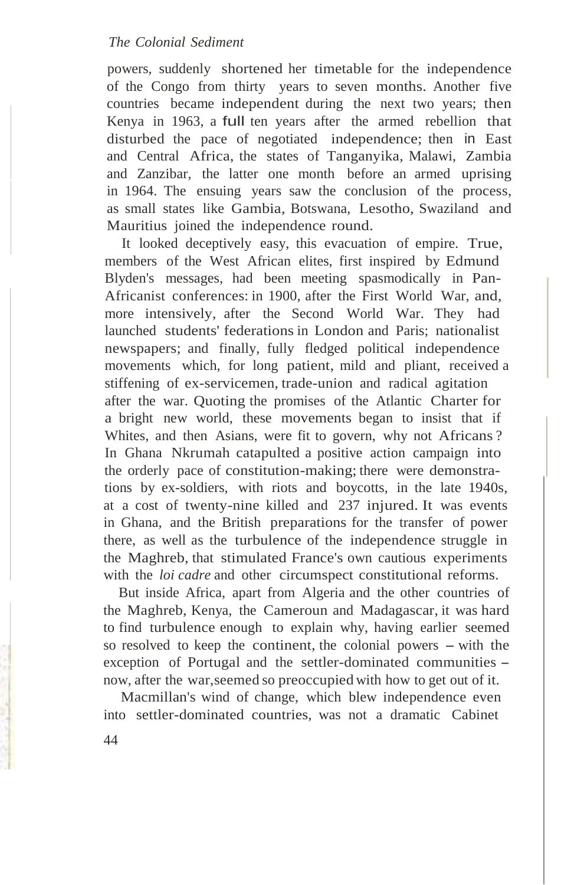powers, suddenly shortened her timetable for the independence of the Congo from thirty years to seven months. Another five countries became independent during the next two years; then Kenya in 1963, a full ten years after the armed rebellion that disturbed the pace of negotiated independence; then in East and Central Africa, the states of Tanganyika, Malawi, Zambia and Zanzibar, the latter one month before an armed uprising in 1964. The ensuing years saw the conclusion of the process, as small states like Gambia, Botswana, Lesotho, Swaziland and Mauritius joined the independence round.

It looked deceptively easy, this evacuation of empire. True, members of the West African elites, first inspired by Edmund Blyden's messages, had been meeting spasmodically in Pan-Africanist conferences: in 1900, after the First World War, and, more intensively, after the Second World War. They had launched students' federations in London and Paris; nationalist newspapers; and finally, fully fledged political independence movements which, for long patient, mild and pliant, received a stiffening of ex-servicemen, trade-union and radical agitation after the war. Quoting the promises of the Atlantic Charter for a bright new world, these movements began to insist that if Whites, and then Asians, were fit to govern, why not Africans ? In Ghana Nkrumah catapulted a positive action campaign into the orderly pace of constitution-making; there were demonstrations by ex-soldiers, with riots and boycotts, in the late 1940s, at a cost of twenty-nine killed and 237 injured. It was events in Ghana, and the British preparations for the transfer of power there, as well as the turbulence of the independence struggle in the Maghreb, that stimulated France's own cautious experiments with the *loi cadre* and other circumspect constitutional reforms.

But inside Africa, apart from Algeria and the other countries of the Maghreb, Kenya, the Cameroun and Madagascar, it was hard to find turbulence enough to explain why, having earlier seemed so resolved to keep the continent, the colonial powers - with the exception of Portugal and the settler-dominated communities now, after the war,seemed so preoccupied with how to get out of it.

Macmillan's wind of change, which blew independence even into settler-dominated countries, was not a dramatic Cabinet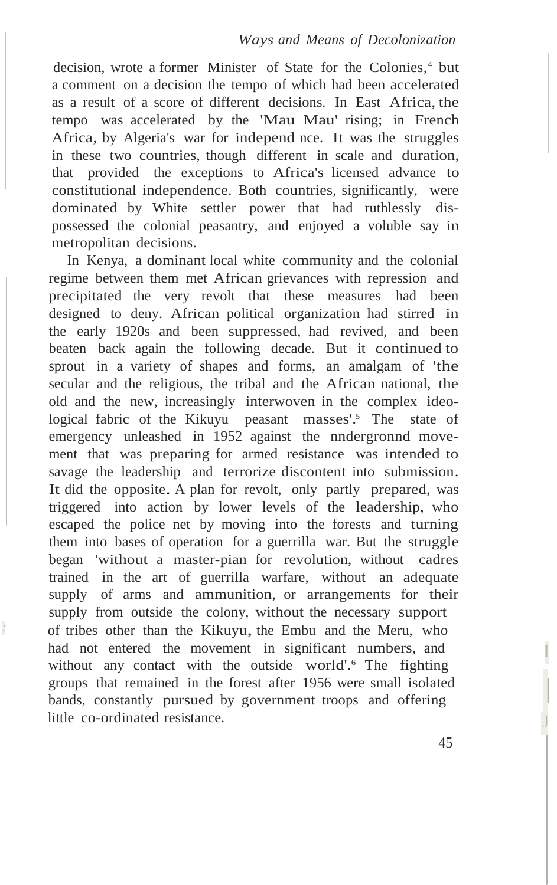decision, wrote a former Minister of State for the Colonies,<sup>4</sup> but a comment on a decision the tempo of which had been accelerated as a result of a score of different decisions. In East Africa, the tempo was accelerated by the 'Mau Mau' rising; in French Africa, by Algeria's war for independ nce. It was the struggles in these two countries, though different in scale and duration, that provided the exceptions to Africa's licensed advance to constitutional independence. Both countries, significantly, were dominated by White settler power that had ruthlessly dispossessed the colonial peasantry, and enjoyed a voluble say in metropolitan decisions.

In Kenya, a dominant local white community and the colonial regime between them met African grievances with repression and precipitated the very revolt that these measures had been designed to deny. African political organization had stirred in the early 1920s and been suppressed, had revived, and been beaten back again the following decade. But it continued to sprout in a variety of shapes and forms, an amalgam of 'the secular and the religious, the tribal and the African national, the old and the new, increasingly interwoven in the complex ideological fabric of the Kikuyu peasant masses'.<sup>5</sup> The state of emergency unleashed in 1952 against the nndergronnd movement that was preparing for armed resistance was intended to savage the leadership and terrorize discontent into submission. It did the opposite. A plan for revolt, only partly prepared, was triggered into action by lower levels of the leadership, who escaped the police net by moving into the forests and turning them into bases of operation for a guerrilla war. But the struggle began 'without a master-pian for revolution, without cadres trained in the art of guerrilla warfare, without an adequate supply of arms and ammunition, or arrangements for their supply from outside the colony, without the necessary support *:* of tribes other than the Kikuyu, the Embu and the Meru, who had not entered the movement in significant numbers, and without any contact with the outside world'.<sup>6</sup> The fighting groups that remained in the forest after 1956 were small isolated bands, constantly pursued by government troops and offering little co-ordinated resistance.

45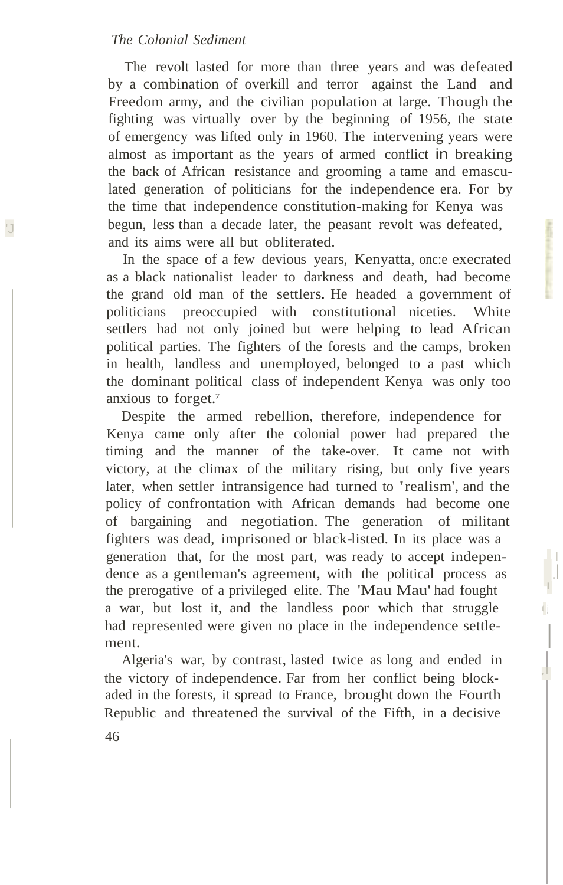The revolt lasted for more than three years and was defeated by a combination of overkill and terror against the Land and Freedom army, and the civilian population at large. Though the fighting was virtually over by the beginning of 1956, the state of emergency was lifted only in 1960. The intervening years were almost as important as the years of armed conflict in breaking the back of African resistance and grooming a tame and emasculated generation of politicians for the independence era. For by the time that independence constitution-making for Kenya was begun, less than a decade later, the peasant revolt was defeated. and its aims were all but obliterated.

In the space of a few devious years, Kenyatta, onc:e execrated as a black nationalist leader to darkness and death, had become the grand old man of the settlers. He headed a government of politicians preoccupied with constitutional niceties. White settlers had not only joined but were helping to lead African political parties. The fighters of the forests and the camps, broken in health, landless and unemployed, belonged to a past which the dominant political class of independent Kenya was only too anxious to forget. 7

Despite the armed rebellion, therefore, independence for Kenya came only after the colonial power had prepared the timing and the manner of the take-over. It came not with victory, at the climax of the military rising, but only five years later, when settler intransigence had turned to 'realism', and the policy of confrontation with African demands had become one of bargaining and negotiation. The generation of militant fighters was dead, imprisoned or black-listed. In its place was a generation that, for the most part, was ready to accept independence as a gentleman's agreement, with the political process as the prerogative of a privileged elite. The 'Mau Mau' had fought a war, but lost it, and the landless poor which that struggle had represented were given no place in the independence settlement.

Algeria's war, by contrast, lasted twice as long and ended in the victory of independence. Far from her conflict being blockaded in the forests, it spread to France, brought down the Fourth Republic and threatened the survival of the Fifth, in a decisive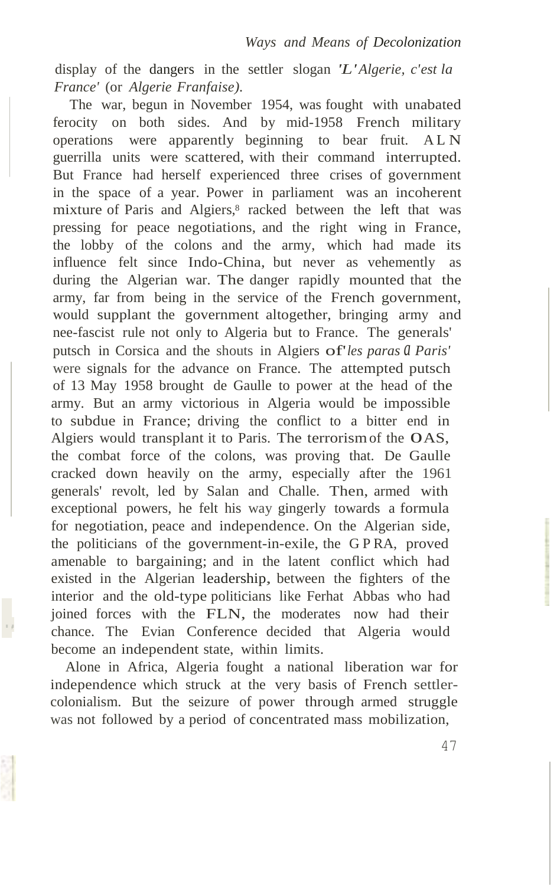display of the dangers in the settler slogan *'L'Algerie, c'est la France'* (or *Algerie Franfaise).*

The war, begun in November 1954, was fought with unabated ferocity on both sides. And by mid-1958 French military operations were apparently beginning to bear fruit. A L N guerrilla units were scattered, with their command interrupted. But France had herself experienced three crises of government in the space of a year. Power in parliament was an incoherent mixture of Paris and Algiers,<sup>8</sup> racked between the left that was pressing for peace negotiations, and the right wing in France, the lobby of the colons and the army, which had made its influence felt since Indo-China, but never as vehemently as during the Algerian war. The danger rapidly mounted that the army, far from being in the service of the French government, would supplant the government altogether, bringing army and nee-fascist rule not only to Algeria but to France. The generals' putsch in Corsica and the shouts in Algiers of'*les paras <sup>a</sup> Paris'* were signals for the advance on France. The attempted putsch of 13 May 1958 brought de Gaulle to power at the head of the army. But an army victorious in Algeria would be impossible to subdue in France; driving the conflict to a bitter end in Algiers would transplant it to Paris. The terrorismof the 0AS, the combat force of the colons, was proving that. De Gaulle cracked down heavily on the army, especially after the 1961 generals' revolt, led by Salan and Challe. Then, armed with exceptional powers, he felt his way gingerly towards a formula for negotiation, peace and independence. On the Algerian side, the politicians of the government-in-exile, the G P RA, proved amenable to bargaining; and in the latent conflict which had existed in the Algerian leadership, between the fighters of the interior and the old-type politicians like Ferhat Abbas who had joined forces with the FLN, the moderates now had their chance. The Evian Conference decided that Algeria would become an independent state, within limits.

Alone in Africa, Algeria fought a national liberation war for independence which struck at the very basis of French settlercolonialism. But the seizure of power through armed struggle was not followed by a period of concentrated mass mobilization,

..,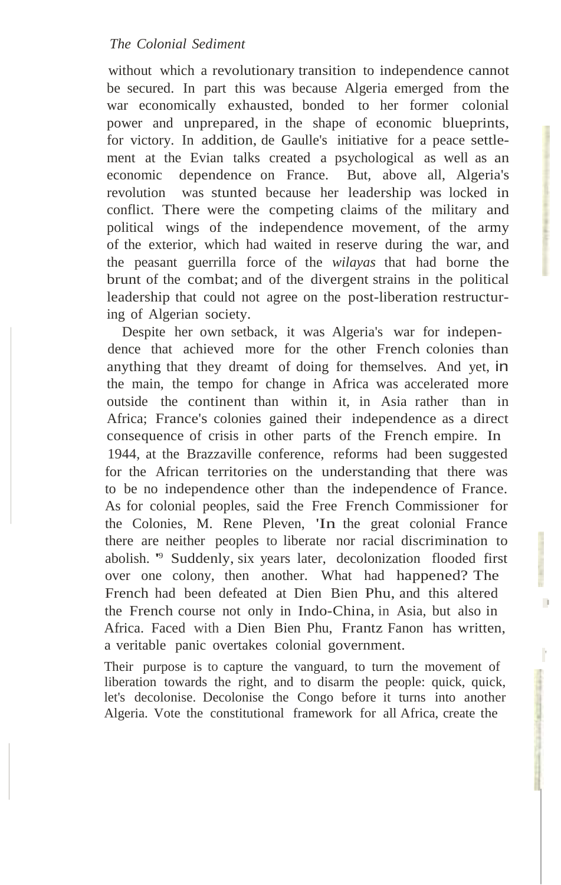I

#### *The Colonial Sediment*

without which a revolutionary transition to independence cannot be secured. In part this was because Algeria emerged from the war economically exhausted, bonded to her former colonial power and unprepared, in the shape of economic blueprints, for victory. In addition, de Gaulle's initiative for a peace settlement at the Evian talks created a psychological as well as an economic dependence on France. But, above all, Algeria's revolution was stunted because her leadership was locked in conflict. There were the competing claims of the military and political wings of the independence movement, of the army of the exterior, which had waited in reserve during the war, and the peasant guerrilla force of the *wilayas* that had borne the brunt of the combat; and of the divergent strains in the political leadership that could not agree on the post-liberation restructuring of Algerian society.

Despite her own setback, it was Algeria's war for independence that achieved more for the other French colonies than anything that they dreamt of doing for themselves. And yet, in the main, the tempo for change in Africa was accelerated more outside the continent than within it, in Asia rather than in Africa; France's colonies gained their independence as a direct consequence of crisis in other parts of the French empire. In 1944, at the Brazzaville conference, reforms had been suggested for the African territories on the understanding that there was to be no independence other than the independence of France. As for colonial peoples, said the Free French Commissioner for the Colonies, M. Rene Pleven, 'In the great colonial France there are neither peoples to liberate nor racial discrimination to abolish. <sup>"</sup> Suddenly, six years later, decolonization flooded first over one colony, then another. What had happened? The French had been defeated at Dien Bien Phu, and this altered the French course not only in Indo-China, in Asia, but also in Africa. Faced with a Dien Bien Phu, Frantz Fanon has written, a veritable panic overtakes colonial government.

Their purpose is to capture the vanguard, to turn the movement of liberation towards the right, and to disarm the people: quick, quick, let's decolonise. Decolonise the Congo before it turns into another Algeria. Vote the constitutional framework for all Africa, create the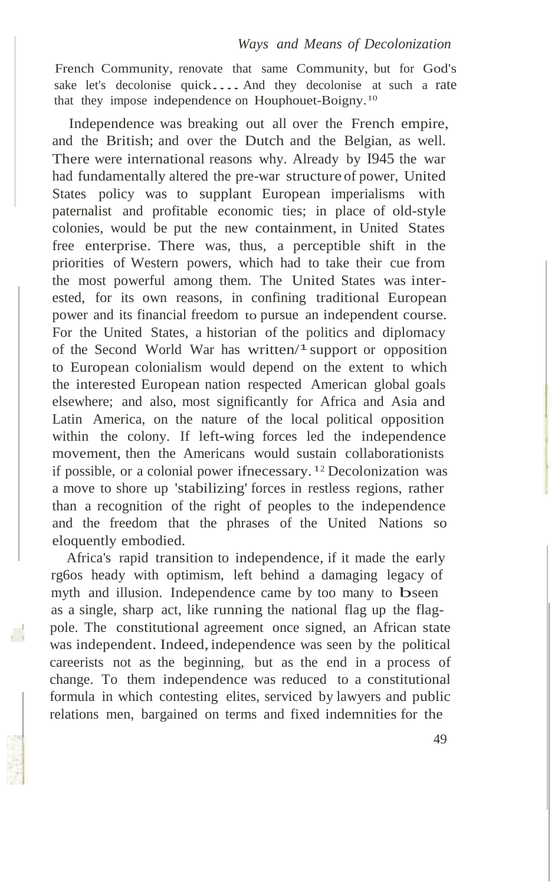French Community, renovate that same Community, but for God's sake let's decolonise quick.... And they decolonise at such a rate that they impose independence on Houphouet-Boigny.<sup>10</sup>

Independence was breaking out all over the French empire, and the British; and over the Dutch and the Belgian, as well. There were international reasons why. Already by I945 the war had fundamentally altered the pre-war structure of power, United States policy was to supplant European imperialisms with paternalist and profitable economic ties; in place of old-style colonies, would be put the new containment, in United States free enterprise. There was, thus, a perceptible shift in the priorities of Western powers, which had to take their cue from the most powerful among them. The United States was interested, for its own reasons, in confining traditional European power and its financial freedom to pursue an independent course. For the United States, a historian of the politics and diplomacy of the Second World War has written/ 1 support or opposition to European colonialism would depend on the extent to which the interested European nation respected American global goals elsewhere; and also, most significantly for Africa and Asia and Latin America, on the nature of the local political opposition within the colony. If left-wing forces led the independence movement, then the Americans would sustain collaborationists if possible, or a colonial power ifnecessary. 12 Decolonization was a move to shore up 'stabilizing' forces in restless regions, rather than a recognition of the right of peoples to the independence and the freedom that the phrases of the United Nations so eloquently embodied.

Africa's rapid transition to independence, if it made the early rg6os heady with optimism, left behind a damaging legacy of myth and illusion. Independence came by too many to bseen as a single, sharp act, like running the national flag up the flagpole. The constitutional agreement once signed, an African state was independent. Indeed, independence was seen by the political careerists not as the beginning, but as the end in a process of change. To them independence was reduced to a constitutional formula in which contesting elites, serviced by lawyers and public relations men, bargained on terms and fixed indemnities for the

• I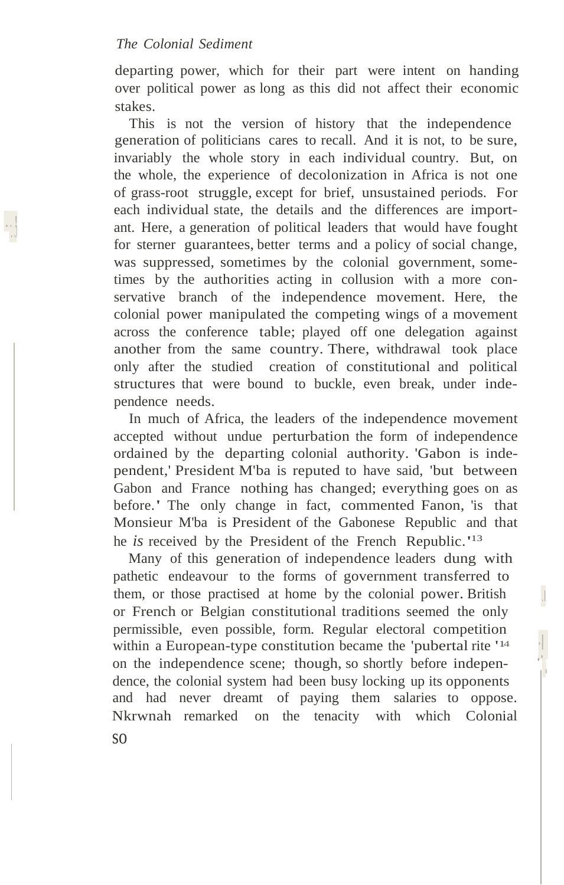..! .J departing power, which for their part were intent on handing over political power as long as this did not affect their economic stakes.

This is not the version of history that the independence generation of politicians cares to recall. And it is not, to be sure, invariably the whole story in each individual country. But, on the whole, the experience of decolonization in Africa is not one of grass-root struggle, except for brief, unsustained periods. For each individual state, the details and the differences are important. Here, a generation of political leaders that would have fought for sterner guarantees, better terms and a policy of social change, was suppressed, sometimes by the colonial government, sometimes by the authorities acting in collusion with a more conservative branch of the independence movement. Here, the colonial power manipulated the competing wings of a movement across the conference table; played off one delegation against another from the same country. There, withdrawal took place only after the studied creation of constitutional and political structures that were bound to buckle, even break, under independence needs.

In much of Africa, the leaders of the independence movement accepted without undue perturbation the form of independence ordained by the departing colonial authority. 'Gabon is independent,' President M'ba is reputed to have said, 'but between Gabon and France nothing has changed; everything goes on as before. The only change in fact, commented Fanon, 'is that Monsieur M'ba is President of the Gabonese Republic and that he *is* received by the President of the French Republic.' 13

Many of this generation of independence leaders dung with pathetic endeavour to the forms of government transferred to them, or those practised at home by the colonial power. British or French or Belgian constitutional traditions seemed the only permissible, even possible, form. Regular electoral competition within a European-type constitution became the 'pubertal rite  $14$   $\frac{1}{2}$ on the independence scene; though, so shortly before independence, the colonial system had been busy locking up its opponents and had never dreamt of paying them salaries to oppose. Nkrwnah remarked on the tenacity with which Colonial

I

so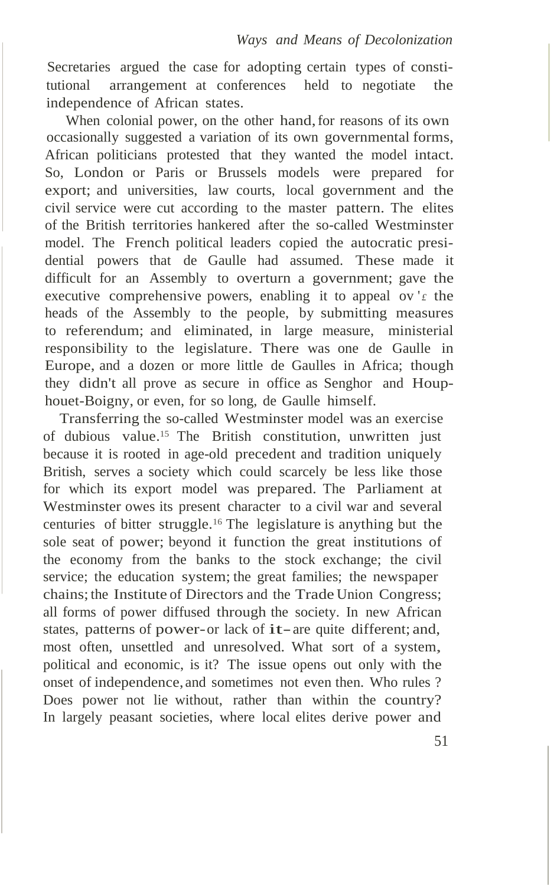Secretaries argued the case for adopting certain types of constitutional arrangement at conferences held to negotiate the independence of African states.

When colonial power, on the other hand, for reasons of its own occasionally suggested a variation of its own governmental forms, African politicians protested that they wanted the model intact. So, London or Paris or Brussels models were prepared for export; and universities, law courts, local government and the civil service were cut according to the master pattern. The elites of the British territories hankered after the so-called Westminster model. The French political leaders copied the autocratic presidential powers that de Gaulle had assumed. These made it difficult for an Assembly to overturn a government; gave the executive comprehensive powers, enabling it to appeal ov  $\angle$  *f* the heads of the Assembly to the people, by submitting measures to referendum; and eliminated, in large measure, ministerial responsibility to the legislature. There was one de Gaulle in Europe, and a dozen or more little de Gaulles in Africa; though they didn't all prove as secure in office as Senghor and Houphouet-Boigny, or even, for so long, de Gaulle himself.

Transferring the so-called Westminster model was an exercise of dubious value.<sup>15</sup> The British constitution, unwritten just because it is rooted in age-old precedent and tradition uniquely British, serves a society which could scarcely be less like those for which its export model was prepared. The Parliament at Westminster owes its present character to a civil war and several centuries of bitter struggle.<sup>16</sup> The legislature is anything but the sole seat of power; beyond it function the great institutions of the economy from the banks to the stock exchange; the civil service; the education system; the great families; the newspaper chains; the Institute of Directors and the Trade Union Congress; all forms of power diffused through the society. In new African states, patterns of power-or lack of it-are quite different; and, most often, unsettled and unresolved. What sort of <sup>a</sup> system, political and economic, is it? The issue opens out only with the onset of independence, and sometimes not even then. Who rules ? Does power not lie without, rather than within the country? In largely peasant societies, where local elites derive power and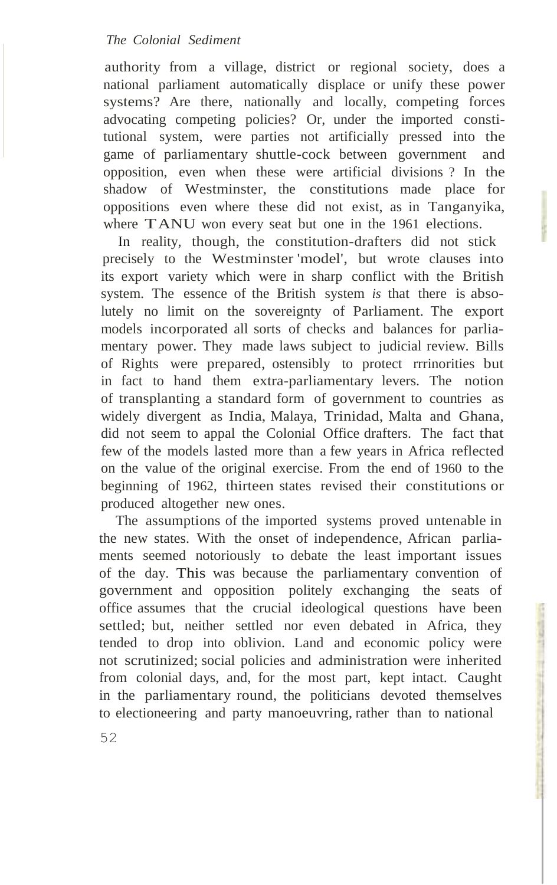authority from a village, district or regional society, does a national parliament automatically displace or unify these power systems? Are there, nationally and locally, competing forces advocating competing policies? Or, under the imported constitutional system, were parties not artificially pressed into the game of parliamentary shuttle-cock between government and opposition, even when these were artificial divisions ? In the shadow of Westminster, the constitutions made place for oppositions even where these did not exist, as in Tanganyika, where TANU won every seat but one in the 1961 elections.

In reality, though, the constitution-drafters did not stick precisely to the Westminster 'model', but wrote clauses into its export variety which were in sharp conflict with the British system. The essence of the British system *is* that there is absolutely no limit on the sovereignty of Parliament. The export models incorporated all sorts of checks and balances for parliamentary power. They made laws subject to judicial review. Bills of Rights were prepared, ostensibly to protect rrrinorities but in fact to hand them extra-parliamentary levers. The notion of transplanting a standard form of government to countries as widely divergent as India, Malaya, Trinidad, Malta and Ghana, did not seem to appal the Colonial Office drafters. The fact that few of the models lasted more than a few years in Africa reflected on the value of the original exercise. From the end of 1960 to the beginning of 1962, thirteen states revised their constitutions or produced altogether new ones.

The assumptions of the imported systems proved untenable in the new states. With the onset of independence, African parliaments seemed notoriously to debate the least important issues of the day. This was because the parliamentary convention of government and opposition politely exchanging the seats of office assumes that the crucial ideological questions have been settled; but, neither settled nor even debated in Africa, they tended to drop into oblivion. Land and economic policy were not scrutinized; social policies and administration were inherited from colonial days, and, for the most part, kept intact. Caught in the parliamentary round, the politicians devoted themselves to electioneering and party manoeuvring, rather than to national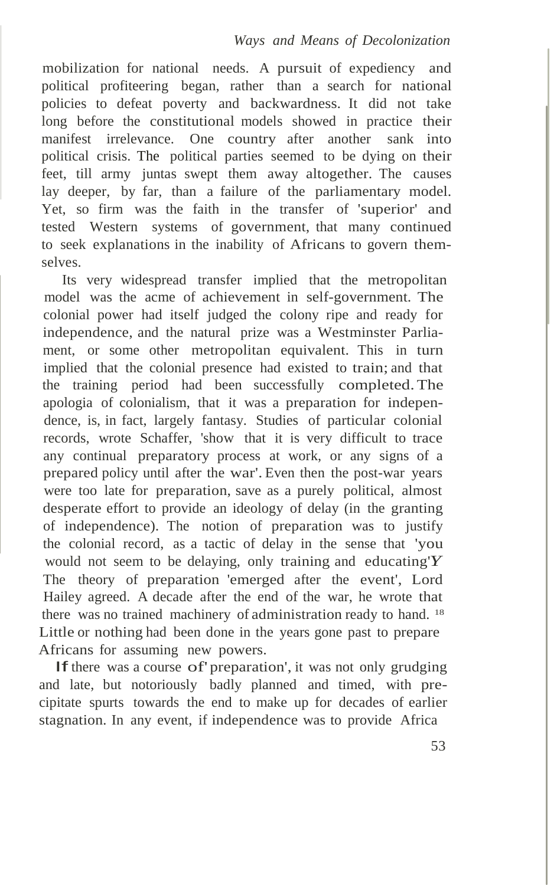#### *Ways and Means of Decolonization*

mobilization for national needs. A pursuit of expediency and political profiteering began, rather than a search for national policies to defeat poverty and backwardness. It did not take long before the constitutional models showed in practice their manifest irrelevance. One country after another sank into political crisis. The political parties seemed to be dying on their feet, till army juntas swept them away altogether. The causes lay deeper, by far, than a failure of the parliamentary model. Yet, so firm was the faith in the transfer of 'superior' and tested Western systems of government, that many continued to seek explanations in the inability of Africans to govern themselves.

Its very widespread transfer implied that the metropolitan model was the acme of achievement in self-government. The colonial power had itself judged the colony ripe and ready for independence, and the natural prize was a Westminster Parliament, or some other metropolitan equivalent. This in turn implied that the colonial presence had existed to train; and that the training period had been successfully completed.The apologia of colonialism, that it was a preparation for independence, is, in fact, largely fantasy. Studies of particular colonial records, wrote Schaffer, 'show that it is very difficult to trace any continual preparatory process at work, or any signs of a prepared policy until after the war'. Even then the post-war years were too late for preparation, save as a purely political, almost desperate effort to provide an ideology of delay (in the granting of independence). The notion of preparation was to justify the colonial record, as a tactic of delay in the sense that 'you would not seem to be delaying, only training and educating'*Y*  The theory of preparation 'emerged after the event', Lord Hailey agreed. A decade after the end of the war, he wrote that there was no trained machinery of administration ready to hand. <sup>18</sup> Little or nothing had been done in the years gone past to prepare Africans for assuming new powers.

If there was a course of preparation', it was not only grudging and late, but notoriously badly planned and timed, with precipitate spurts towards the end to make up for decades of earlier stagnation. In any event, if independence was to provide Africa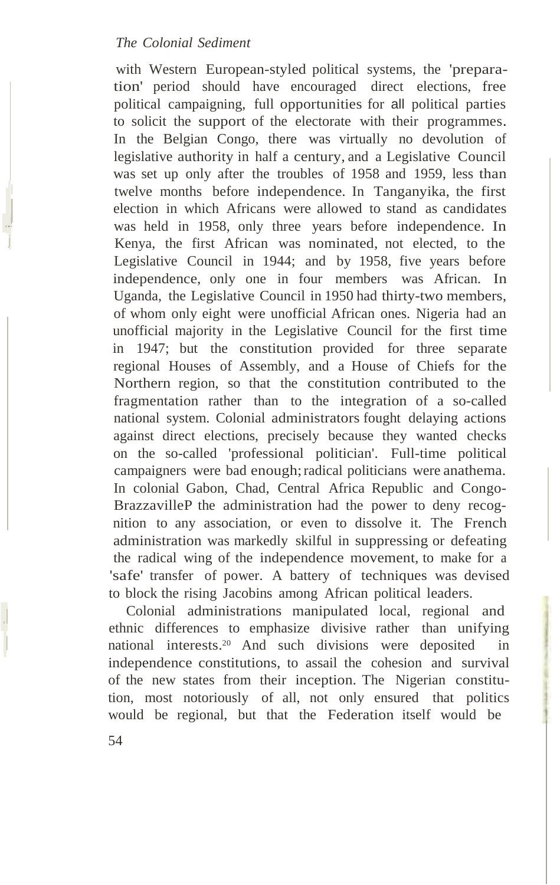I

.. |<br>|<br>|

.I I

with Western European-styled political systems, the 'preparation' period should have encouraged direct elections, free political campaigning, full opportunities for all political parties to solicit the support of the electorate with their programmes. In the Belgian Congo, there was virtually no devolution of legislative authority in half a century, and a Legislative Council was set up only after the troubles of 1958 and 1959, less than twelve months before independence. In Tanganyika, the first election in which Africans were allowed to stand as candidates was held in 1958, only three years before independence. In Kenya, the first African was nominated, not elected, to the Legislative Council in 1944; and by 1958, five years before independence, only one in four members was African. In Uganda, the Legislative Council in 1950 had thirty-two members, of whom only eight were unofficial African ones. Nigeria had an unofficial majority in the Legislative Council for the first time in 1947; but the constitution provided for three separate regional Houses of Assembly, and a House of Chiefs for the Northern region, so that the constitution contributed to the fragmentation rather than to the integration of a so-called national system. Colonial administrators fought delaying actions against direct elections, precisely because they wanted checks on the so-called 'professional politician'. Full-time political campaigners were bad enough;radical politicians were anathema. In colonial Gabon, Chad, Central Africa Republic and Congo-BrazzavilleP the administration had the power to deny recognition to any association, or even to dissolve it. The French administration was markedly skilful in suppressing or defeating the radical wing of the independence movement, to make for a 'safe' transfer of power. A battery of techniques was devised to block the rising Jacobins among African political leaders.

Colonial administrations manipulated local, regional and ethnic differences to emphasize divisive rather than unifying national interests. <sup>20</sup> And such divisions were deposited in independence constitutions, to assail the cohesion and survival of the new states from their inception. The Nigerian constitution, most notoriously of all, not only ensured that politics would be regional, but that the Federation itself would be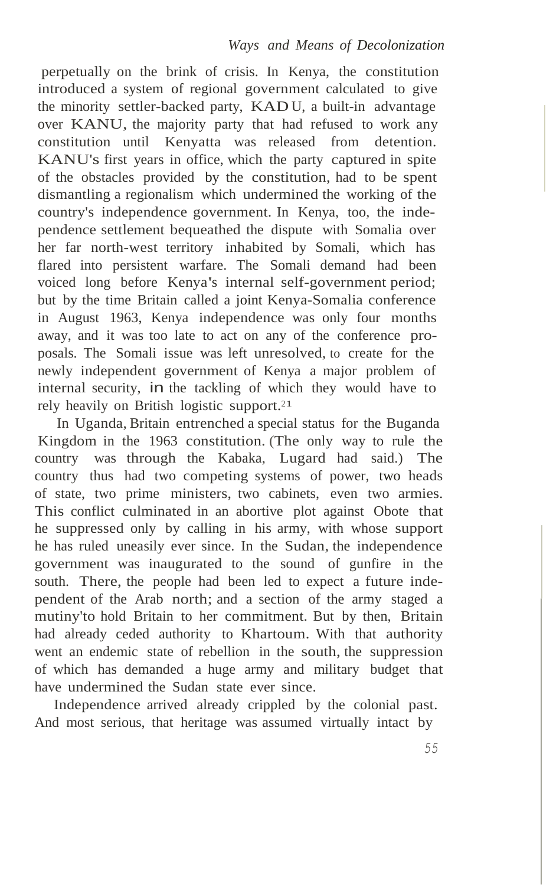perpetually on the brink of crisis. In Kenya, the constitution introduced a system of regional government calculated to give the minority settler-backed party, KAD U, a built-in advantage over KANU, the majority party that had refused to work any constitution until Kenyatta was released from detention. KANU's first years in office, which the party captured in spite of the obstacles provided by the constitution, had to be spent dismantling a regionalism which undermined the working of the country's independence government. In Kenya, too, the independence settlement bequeathed the dispute with Somalia over her far north-west territory inhabited by Somali, which has flared into persistent warfare. The Somali demand had been voiced long before Kenya's internal self-government period; but by the time Britain called a joint Kenya-Somalia conference in August 1963, Kenya independence was only four months away, and it was too late to act on any of the conference proposals. The Somali issue was left unresolved, to create for the newly independent government of Kenya a major problem of internal security, in the tackling of which they would have to rely heavily on British logistic support. 21

In Uganda, Britain entrenched a special status for the Buganda Kingdom in the 1963 constitution. (The only way to rule the country was through the Kabaka, Lugard had said.) The country thus had two competing systems of power, two heads of state, two prime ministers, two cabinets, even two armies. This conflict culminated in an abortive plot against Obote that he suppressed only by calling in his army, with whose support he has ruled uneasily ever since. In the Sudan, the independence government was inaugurated to the sound of gunfire in the south. There, the people had been led to expect a future independent of the Arab north; and a section of the army staged a mutiny'to hold Britain to her commitment. But by then, Britain had already ceded authority to Khartoum. With that authority went an endemic state of rebellion in the south, the suppression of which has demanded a huge army and military budget that have undermined the Sudan state ever since.

Independence arrived already crippled by the colonial past. And most serious, that heritage was assumed virtually intact by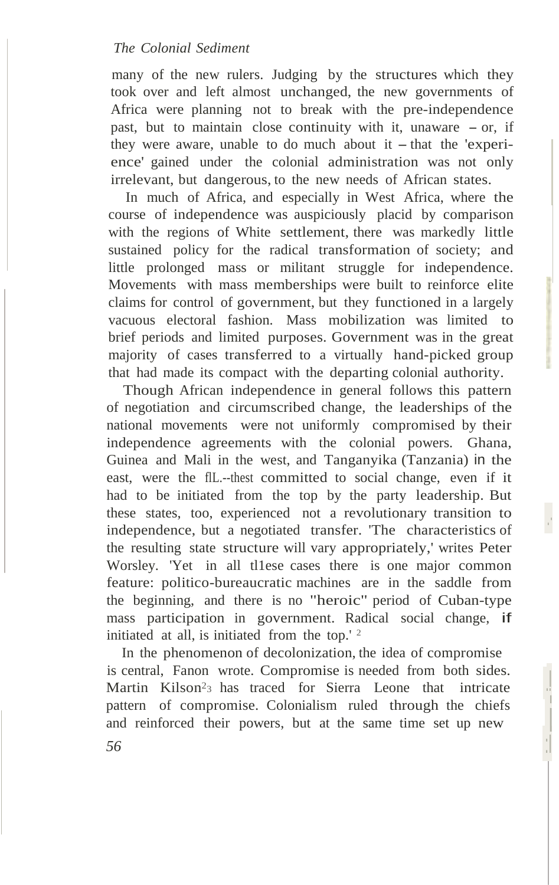many of the new rulers. Judging by the structures which they took over and left almost unchanged, the new governments of Africa were planning not to break with the pre-independence past, but to maintain close continuity with it, unaware  $-$  or, if they were aware, unable to do much about it  $-$  that the 'experience' gained under the colonial administration was not only irrelevant, but dangerous, to the new needs of African states.

In much of Africa, and especially in West Africa, where the course of independence was auspiciously placid by comparison with the regions of White settlement, there was markedly little sustained policy for the radical transformation of society; and little prolonged mass or militant struggle for independence. Movements with mass memberships were built to reinforce elite claims for control of government, but they functioned in a largely vacuous electoral fashion. Mass mobilization was limited to brief periods and limited purposes. Government was in the great majority of cases transferred to a virtually hand-picked group that had made its compact with the departing colonial authority.

Though African independence in general follows this pattern of negotiation and circumscribed change, the leaderships of the national movements were not uniformly compromised by their independence agreements with the colonial powers. Ghana, Guinea and Mali in the west, and Tanganyika (Tanzania) in the east, were the flL.--thest committed to social change, even if it had to be initiated from the top by the party leadership. But these states, too, experienced not a revolutionary transition to independence, but a negotiated transfer. 'The characteristics of the resulting state structure will vary appropriately,' writes Peter Worsley. 'Yet in all tl1ese cases there is one major common feature: politico-bureaucratic machines are in the saddle from the beginning, and there is no "heroic" period of Cuban-type mass participation in government. Radical social change, if initiated at all, is initiated from the top.' <sup>2</sup>

.·

.. I I I :I

In the phenomenon of decolonization, the idea of compromise is central, Fanon wrote. Compromise is needed from both sides. Martin Kilson<sup>2</sup>3 has traced for Sierra Leone that intricate pattern of compromise. Colonialism ruled through the chiefs and reinforced their powers, but at the same time set up new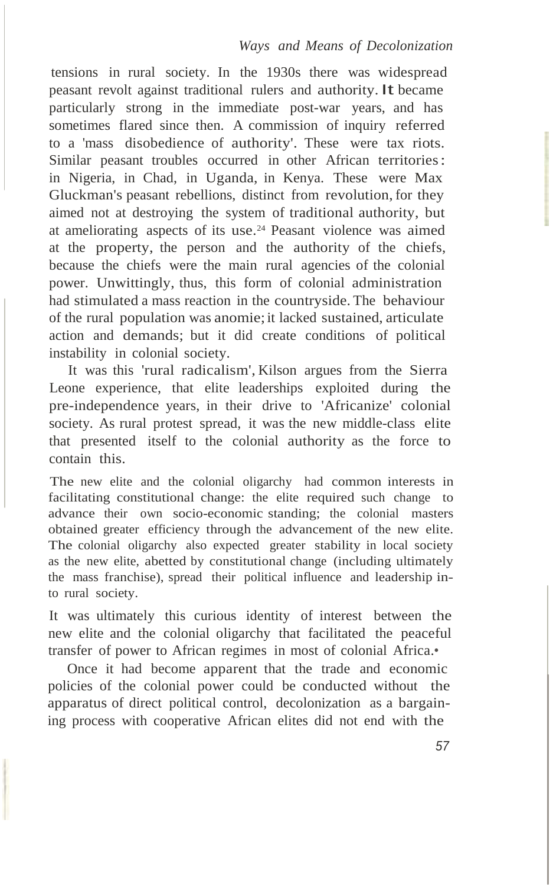#### *Ways and Means of Decolonization*

tensions in rural society. In the 1930s there was widespread peasant revolt against traditional rulers and authority.It became particularly strong in the immediate post-war years, and has sometimes flared since then. A commission of inquiry referred to a 'mass disobedience of authority'. These were tax riots. Similar peasant troubles occurred in other African territories: in Nigeria, in Chad, in Uganda, in Kenya. These were Max Gluckman's peasant rebellions, distinct from revolution, for they aimed not at destroying the system of traditional authority, but at ameliorating aspects of its use.<sup>24</sup> Peasant violence was aimed at the property, the person and the authority of the chiefs, because the chiefs were the main rural agencies of the colonial power. Unwittingly, thus, this form of colonial administration had stimulated a mass reaction in the countryside. The behaviour of the rural population was anomie;it lacked sustained, articulate action and demands; but it did create conditions of political instability in colonial society.

It was this 'rural radicalism', Kilson argues from the Sierra Leone experience, that elite leaderships exploited during the pre-independence years, in their drive to 'Africanize' colonial society. As rural protest spread, it was the new middle-class elite that presented itself to the colonial authority as the force to contain this.

The new elite and the colonial oligarchy had common interests in facilitating constitutional change: the elite required such change to advance their own socio-economic standing; the colonial masters obtained greater efficiency through the advancement of the new elite. The colonial oligarchy also expected greater stability in local society as the new elite, abetted by constitutional change (including ultimately the mass franchise), spread their political influence and leadership into rural society.

It was ultimately this curious identity of interest between the new elite and the colonial oligarchy that facilitated the peaceful transfer of power to African regimes in most of colonial Africa.•

Once it had become apparent that the trade and economic policies of the colonial power could be conducted without the apparatus of direct political control, decolonization as a bargaining process with cooperative African elites did not end with the